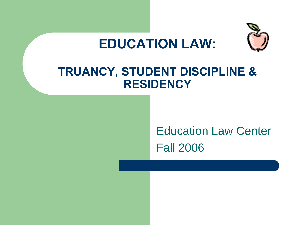



#### **TRUANCY, STUDENT DISCIPLINE & RESIDENCY**

### Education Law Center Fall 2006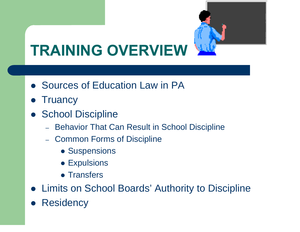

# **TRAINING OVERVIEW**

- Sources of Education Law in PA
- $\bullet$ **Truancy**
- $\bullet$ **School Discipline** 
	- Behavior That Can Result in School Discipline
	- Common Forms of Discipline
		- **Suspensions**
		- $\bullet$  Expulsions
		- Transfers
- $\bullet$ Limits on School Boards' Authority to Discipline
- $\bullet$ **Residency**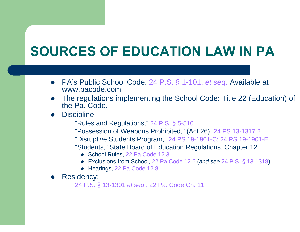## **SOURCES OF EDUCATION LAW IN PA**

- $\bullet$  PA's Public School Code: 24 P.S. § 1-101, *et seq.* Available at www.pacode.com
- The regulations implementing the School Code: Title 22 (Education) of the Pa. Code.
- $\bullet$  Discipline:
	- "Rules and Regulations," 24 P.S. § 5-510
	- "Possession of Weapons Prohibited," (Act 26), 24 PS 13-1317.2
	- "Disruptive Students Program," 24 PS 19-1901-C; 24 PS 19-1901-E
	- "Students," State Board of Education Regulations, Chapter 12
		- School Rules, 22 Pa Code 12.3
		- z Exclusions from School, 22 Pa Code 12.6 (*and see* 24 P.S. § 13-1318)
		- Hearings, 22 Pa Code 12.8
- $\bullet$  Residency:
	- 24 P.S. § 13-1301 *et seq*.; 22 Pa. Code Ch. 11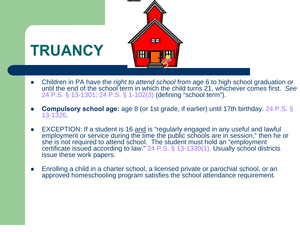

- $\bullet$  Children in PA have the *right to attend school* from age 6 to high school graduation *or* until the end of the school term in which the child turns 21, whichever comes first. *See* 24 P.S. § 13-1301; 24 P.S. § 1-102(3) (defining "school term").
- $\bullet$  **Compulsory school age:** age 8 (or 1st grade, if earlier) until 17th birthday. 24 P.S. § 13-1326.
- O • EXCEPTION: If a student is 16 and is "regularly engaged in any useful and lawful employment or service during the time the public schools are in session," then he or she is not required to attend school. The student must hold an "employment" certificate issued according to law." 24 P.S. § 13-1330(1). Usually school districts issue these work papers.
- O Enrolling a child in a charter school, a licensed private or parochial school, or an approved homeschooling program satisfies the school attendance requirement.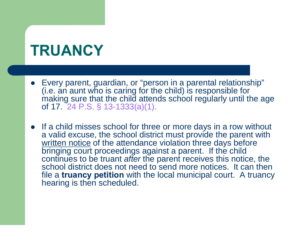## **TRUANCY**

- Every parent, guardian, or "person in a parental relationship" (i.e. an aunt who is caring for the child) is responsible for making sure that the child attends school regularly until the age of 17. 24 P.S. § 13-1333(a)(1).
- $\bullet$  If a child misses school for three or more days in a row without a valid excuse, the school district must provide the parent with written notice of the attendance violation three days before bringing court proceedings against a parent. If the child continues to be truant *after* the parent receives this notice, the school district does not need to send more notices. It can then file a **truancy petition** with the local municipal court. A truancy hearing is then scheduled.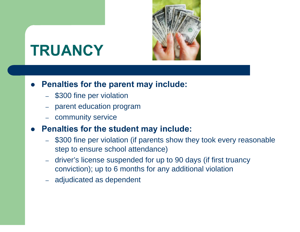

## **TRUANCY**

#### $\bullet$ **Penalties for the parent may include:**

- \$300 fine per violation
- –parent education program
- community service

#### $\bullet$ **Penalties for the student may include:**

- \$300 fine per violation (if parents show they took every reasonable step to ensure school attendance)
- driver's license suspended for up to 90 days (if first truancy conviction); up to 6 months for any additional violation
- adjudicated as dependent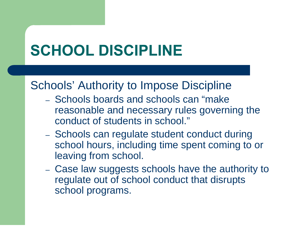# **SCHOOL DISCIPLINE**

#### Schools' Authority to Impose Discipline

- Schools boards and schools can "make reasonable and necessary rules governing the conduct of students in school."
- Schools can regulate student conduct during school hours, including time spent coming to or leaving from school.
- Case law suggests schools have the authority to regulate out of school conduct that disrupts school programs.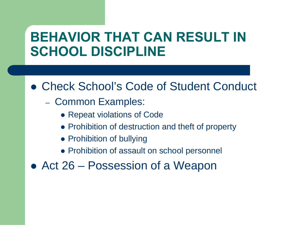### **BEHAVIOR THAT CAN RESULT IN SCHOOL DISCIPLINE**

#### **• Check School's Code of Student Conduct**

- Common Examples:
	- Repeat violations of Code
	- Prohibition of destruction and theft of property
	- Prohibition of bullying
	- Prohibition of assault on school personnel
- Act 26 Possession of a Weapon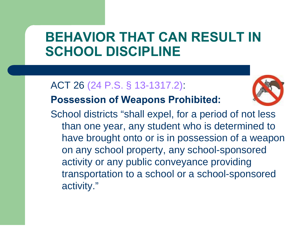### **BEHAVIOR THAT CAN RESULT IN SCHOOL DISCIPLINE**

#### ACT 26 (24 P.S. § 13-1317.2):



#### **Possession of Weapons Prohibited:**

School districts "shall expel, for a period of not less than one year, any student who is determined to have brought onto or is in possession of a weapon on any school property, any school-sponsored activity or any public conveyance providing transportation to a school or a school-sponsored activity."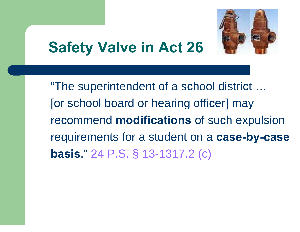

## **Safety Valve in Act 26**

"The superintendent of a school district … [or school board or hearing officer] may recommend **modifications** of such expulsion requirements for a student on a **case-by-case basis**." 24 P.S. § 13-1317.2 (c)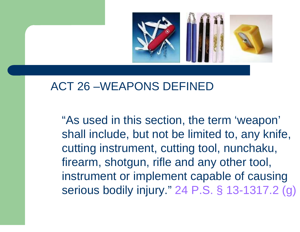

#### ACT 26 –WEAPONS DEFINED

 "As used in this section, the term 'weapon' shall include, but not be limited to, any knife, cutting instrument, cutting tool, nunchaku, firearm, shotgun, rifle and any other tool, instrument or implement capable of causing serious bodily injury." 24 P.S. § 13-1317.2 (g)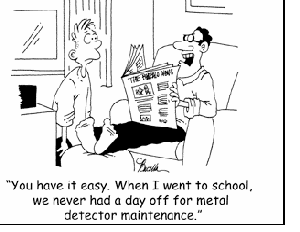

"You have it easy. When I went to school, we never had a day off for metal detector maintenance."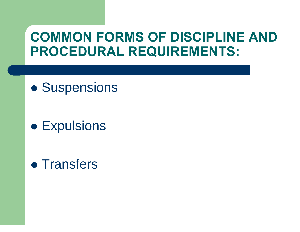### **COMMON FORMS OF DISCIPLINE AND PROCEDURAL REQUIREMENTS:**

 $\bullet$ **• Suspensions** 

**• Expulsions** 

• Transfers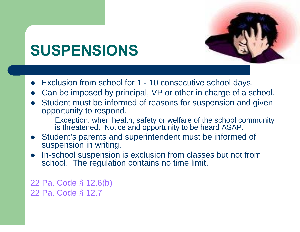

## **SUSPENSIONS**

- $\bullet$ Exclusion from school for 1 - 10 consecutive school days.
- $\bullet$ Can be imposed by principal, VP or other in charge of a school.
- $\bullet$  Student must be informed of reasons for suspension and given opportunity to respond.
	- – Exception: when health, safety or welfare of the school community is threatened. Notice and opportunity to be heard ASAP.
- $\bullet$  Student's parents and superintendent must be informed of suspension in writing.
- $\bullet$  In-school suspension is exclusion from classes but not from school. The regulation contains no time limit.

22 Pa. Code § 12.6(b) 22 Pa. Code § 12.7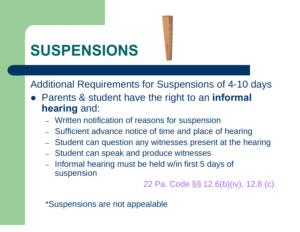# **SUSPENSIONS**

Additional Requirements for Suspensions of 4-10 days

- **Parents & student have the right to an informal hearing** and:
	- Written notification of reasons for suspension
	- Sufficient advance notice of time and place of hearing
	- Student can question any witnesses present at the hearing
	- Student can speak and produce witnesses
	- $\rightarrow$  Informal hearing must be held w/in first 5 days of suspension

22 Pa. Code §§ 12.6(b)(iv), 12.8 (c).

\*Suspensions are not appealable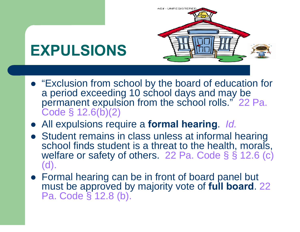

- "Exclusion from school by the board of education for a period exceeding 10 school days and may be permanent expulsion from the school rolls." 22 Pa. Code § 12.6(b)(2)
- z All expulsions require a **formal hearing**. *Id.*
- Student remains in class unless at informal hearing school finds student is a threat to the health, morals, welfare or safety of others. 22 Pa. Code § § 12.6 (c) (d).
- Formal hearing can be in front of board panel but must be approved by majority vote of **full board**. 22 Pa. Code § 12.8 (b).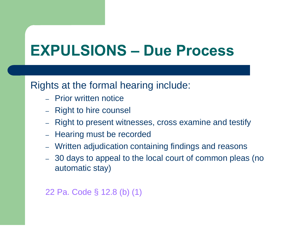## **EXPULSIONS – Due Process**

#### Rights at the formal hearing include:

- Prior written notice
- Right to hire counsel
- –Right to present witnesses, cross examine and testify
- Hearing must be recorded
- Written adjudication containing findings and reasons
- 30 days to appeal to the local court of common pleas (no automatic stay)

#### 22 Pa. Code § 12.8 (b) (1)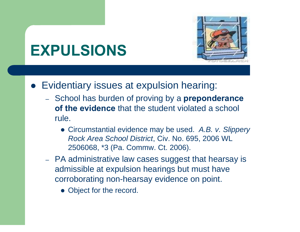

## **EXPULSIONS**

- Evidentiary issues at expulsion hearing:
	- School has burden of proving by a **preponderance of the evidence** that the student violated a school rule.
		- **Circumstantial evidence may be used.** A.B. v. Slippery *Rock Area School District*, Civ. No. 695, 2006 WL 2506068, \*3 (Pa. Commw. Ct. 2006).
	- PA administrative law cases suggest that hearsay is admissible at expulsion hearings but must have corroborating non-hearsay evidence on point.
		- Object for the record.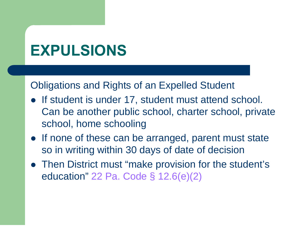## **EXPULSIONS**

Obligations and Rights of an Expelled Student

- If student is under 17, student must attend school. Can be another public school, charter school, private school, home schooling
- If none of these can be arranged, parent must state so in writing within 30 days of date of decision
- Then District must "make provision for the student's education" 22 Pa. Code § 12.6(e)(2)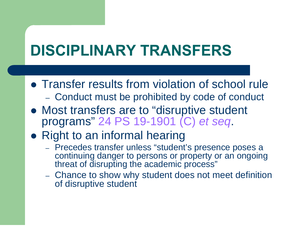## **DISCIPLINARY TRANSFERS**

- Transfer results from violation of school rule Conduct must be prohibited by code of conduct
- Most transfers are to "disruptive student programs" 24 PS 19-1901 (C) *et seq*.
- Right to an informal hearing
	- Precedes transfer unless "student's presence poses a continuing danger to persons or property or an ongoing threat of disrupting the academic process"
	- Chance to show why student does not meet definition of disruptive student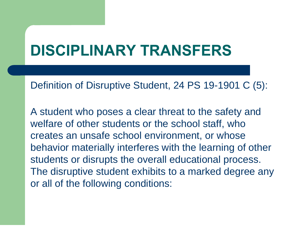## **DISCIPLINARY TRANSFERS**

Definition of Disruptive Student, 24 PS 19-1901 C (5):

A student who poses a clear threat to the safety and welfare of other students or the school staff, who creates an unsafe school environment, or whose behavior materially interferes with the learning of other students or disrupts the overall educational process. The disruptive student exhibits to a marked degree any or all of the following conditions: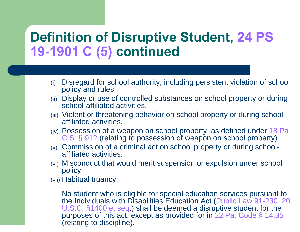#### **Definition of Disruptive Student, 24 PS 19-1901 C (5) continued**

- (i) Disregard for school authority, including persistent violation of school policy and rules.
- (ii) Display or use of controlled substances on school property or during school-affiliated activities.
- (iii) Violent or threatening behavior on school property or during schoolaffiliated activities.
- (iv) Possession of a weapon on school property, as defined under 18 Pa C.S. § 912 (relating to possession of weapon on school property).
- (v) Commission of a criminal act on school property or during schoolaffiliated activities.
- (vi) Misconduct that would merit suspension or expulsion under school policy.
- (vii) Habitual truancy.

No student who is eligible for special education services pursuant to the Individuals with Disabilities Education Act (Public Law 91-230, 20 U.S.C. §1400 et seq.) shall be deemed a disruptive student for the purposes of this act, except as provided for in 22 Pa. Code § 14.35 (relating to discipline).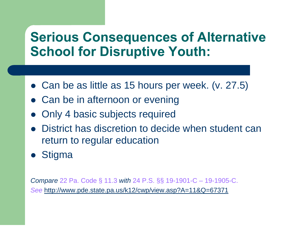### **Serious Consequences of Alternative School for Disruptive Youth:**

- Can be as little as 15 hours per week.  $(v. 27.5)$
- $\bullet$ Can be in afternoon or evening
- $\bullet$ Only 4 basic subjects required
- $\bullet$  District has discretion to decide when student can return to regular education
- $\bullet$ **Stigma**

*Compare* 22 Pa. Code § 11.3 *with* 24 P.S. §§ 19-1901-C – 19-1905-C. *See* http://www.pde.state.pa.us/k12/cwp/view.asp?A=11&Q=67371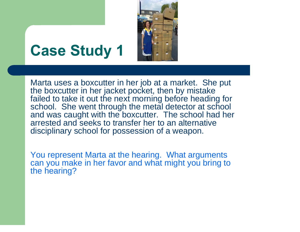

### **Case Study 1**

Marta uses a boxcutter in her job at a market. She put the boxcutter in her jacket pocket, then by mistake failed to take it out the next morning before heading for school. She went through the metal detector at school and was caught with the boxcutter. The school had her arrested and seeks to transfer her to an alternative disciplinary school for possession of a weapon.

You represent Marta at the hearing. What arguments can you make in her favor and what might you bring to the hearing?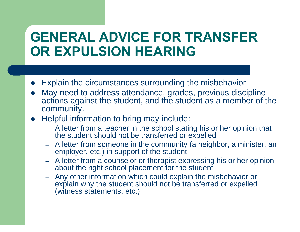### **GENERAL ADVICE FOR TRANSFER OR EXPULSION HEARING**

- $\bullet$ Explain the circumstances surrounding the misbehavior
- $\bullet$  May need to address attendance, grades, previous discipline actions against the student, and the student as a member of the community.
- $\bullet$  Helpful information to bring may include:
	- – A letter from a teacher in the school stating his or her opinion that the student should not be transferred or expelled
	- – A letter from someone in the community (a neighbor, a minister, an employer, etc.) in support of the student
	- – A letter from a counselor or therapist expressing his or her opinion about the right school placement for the student
	- Any other information which could explain the misbehavior or explain why the student should not be transferred or expelled (witness statements, etc.)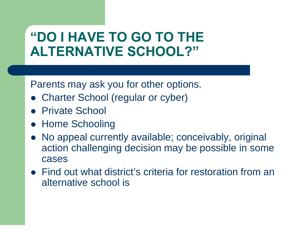### **"DO I HAVE TO GO TO THE ALTERNATIVE SCHOOL?"**

Parents may ask you for other options.

- $\bullet$ Charter School (regular or cyber)
- Private School
- Home Schooling
- No appeal currently available; conceivably, original action challenging decision may be possible in some cases
- Find out what district's criteria for restoration from an alternative school is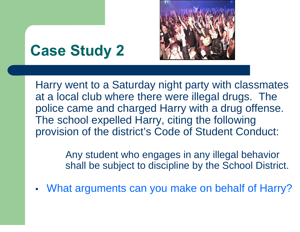

## **Case Study 2**

Harry went to a Saturday night party with classmates at a local club where there were illegal drugs. The police came and charged Harry with a drug offense. The school expelled Harry, citing the following provision of the district's Code of Student Conduct:

> Any student who engages in any illegal behavior shall be subject to discipline by the School District.

•What arguments can you make on behalf of Harry?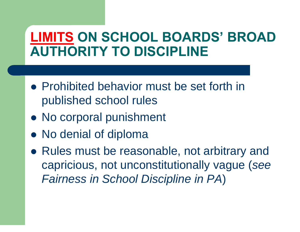### **LIMITS ON SCHOOL BOARDS' BROAD AUTHORITY TO DISCIPLINE**

- Prohibited behavior must be set forth in published school rules
- No corporal punishment
- No denial of diploma
- Rules must be reasonable, not arbitrary and capricious, not unconstitutionally vague (*see Fairness in School Discipline in PA*)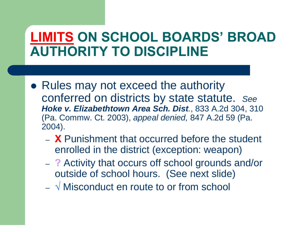### **LIMITS ON SCHOOL BOARDS' BROAD AUTHORITY TO DISCIPLINE**

- Rules may not exceed the authority conferred on districts by state statute. *See Hoke v. Elizabethtown Area Sch. Dist.*, 833 A.2d 304, 310 (Pa. Commw. Ct. 2003), *appeal denied,* 847 A.2d 59 (Pa. 2004).
	- **X** Punishment that occurred before the student enrolled in the district (exception: weapon)
	- **?** Activity that occurs off school grounds and/or outside of school hours. (See next slide)
	- **√** Misconduct en route to or from school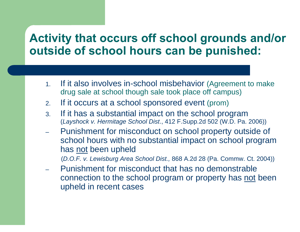#### **Activity that occurs off school grounds and/or outside of school hours can be punished:**

- 1. If it also involves in-school misbehavior (Agreement to make drug sale at school though sale took place off campus)
- 2.If it occurs at a school sponsored event (prom)
- 3. If it has a substantial impact on the school program (*Layshock v. Hermitage School Dist*., 412 F.Supp.2d 502 (W.D. Pa. 2006))
- Punishment for misconduct on school property outside of school hours with no substantial impact on school program has not been upheld

(*D.O.F. v. Lewisburg Area School Dist.,* 868 A.2d 28 (Pa. Commw. Ct. 2004))

 Punishment for misconduct that has no demonstrable connection to the school program or property has not been upheld in recent cases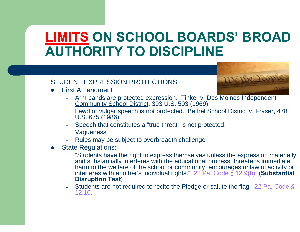### **LIMITS ON SCHOOL BOARDS' BROAD AUTHORITY TO DISCIPLINE**

#### STUDENT EXPRESSION PROTECTIONS:

O First Amendment



- Arm bands are protected expression. Tinker v. Des Moines Independent Community School District, 393 U.S. 503 (1969).
- Lewd or vulgar speech is not protected. Bethel School District v. Fraser, 478 U.S. 675 (1986).
- Speech that constitutes a "true threat" is not protected.
- Vagueness
- Rules may be subject to overbreadth challenge
- O State Regulations:
	- "Students have the right to express themselves unless the expression materially and substantially interferes with the educational process, threatens immediate harm to the welfare of the school or community, encourages unlawful activity or interferes with another's individual rights." 22 Pa. Code § 12.9(b). (**Substantial Disruption Test**)
	- Students are not required to recite the Pledge or salute the flag. 22 Pa. Code § 12.10.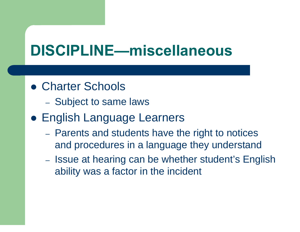## **DISCIPLINE—miscellaneous**

- Charter Schools
	- Subject to same laws
- **English Language Learners** 
	- Parents and students have the right to notices and procedures in a language they understand
	- Issue at hearing can be whether student's English ability was a factor in the incident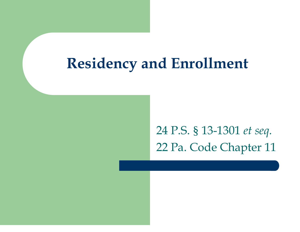### **Residency and Enrollment**

24 P.S. § 13-1301 *et seq.*  22 Pa. Code Chapter 11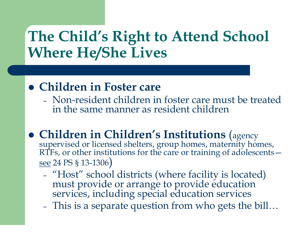## **The Child's Right to Attend School Where He/She Lives**

#### **• Children in Foster care**

- Non-resident children in foster care must be treated in the same manner as resident children
- z **Children in Children's Institutions**  supervised or licensed shelters, group homes, maternity homes, RTFs, or other institutions for the care or training of adolescents see 24 PS § 13-1306)
	- "Host" school districts (where facility is located) must provide or arrange to provide education services, including special education services
	- –This is a separate question from who gets the bill…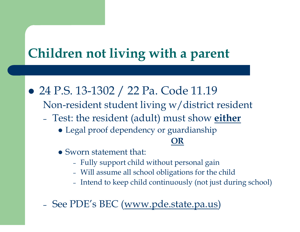### **Children not living with a parent**

• 24 P.S. 13-1302 / 22 Pa. Code 11.19

- Non-resident student living w/district resident
- – Test: the resident (adult) must show **either**
	- Legal proof dependency or guardianship

#### **OR**

- Sworn statement that:
	- –Fully support child without personal gain
	- –Will assume all school obligations for the child
	- –- Intend to keep child continuously (not just during school)
- –- See PDE's BEC (<u>www.pde.state.pa.us</u>)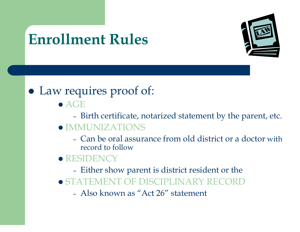# **Enrollment Rules**



#### • Law requires proof of:

- $\bullet$  AGE
	- Birth certificate, notarized statement by the parent, etc.
- $\bullet$  IMMUNIZATIONS
	- Can be oral assurance from old district or a doctor with record to follow
- **RESIDENCY** 
	- Either show parent is district resident or the
- **STATEMENT OF DISCIPLINARY RECORD** 
	- Also known as "Act 26" statement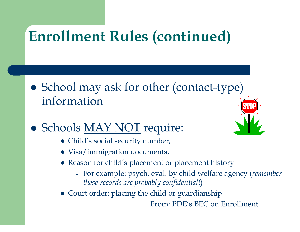#### **Enrollment Rules (continued)**

- School may ask for other (contact-type) information
- Schools MAY NOT require:
	- Child's social security number,
	- Visa/immigration documents,
	- Reason for child's placement or placement history
		- – For example: psych. eval. by child welfare agency (*remember these records are probably confidential*!)
	- Court order: placing the child or guardianship

From: PDE's BEC on Enrollment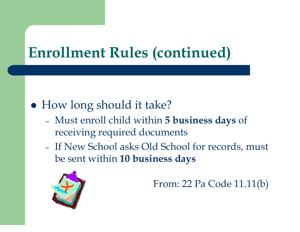#### **Enrollment Rules (continued)**

#### • How long should it take?

- – Must enroll child within **5 business days** of receiving required documents
- If New School asks Old School for records, must be sent within **10 business days**



From: 22 Pa Code 11.11(b)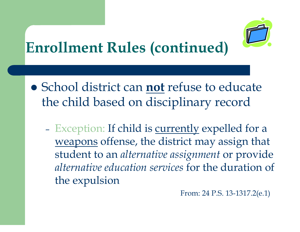# **Enrollment Rules (continued)**

- **School district can not refuse to educate** the child based on disciplinary record
	- –- Exception: If child is <u>currently</u> expelled for a weapons offense, the district may assign that student to an *alternative assignment* or provide *alternative education services* for the duration of the expulsion

From: 24 P.S. 13-1317.2(e.1)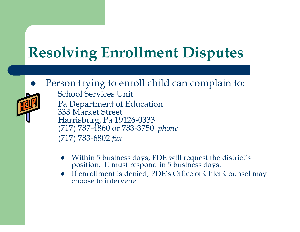#### **Resolving Enrollment Disputes**

 $\bullet$ Person trying to enroll child can complain to:



–

- School Services Unit Pa Department of Education 333 Market Street Harrisburg, Pa 19126-0333 (717) 787-4860 or 783-3750 *phone*  (717) 783-6802 *fax* 
	- $\bullet$ Within 5 business days, PDE will request the district's position. It must respond in 5 business days.
	- If enrollment is denied, PDE's Office of Chief Counsel may choose to intervene.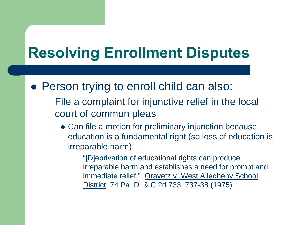#### **Resolving Enrollment Disputes**

- Person trying to enroll child can also:
	- File a complaint for injunctive relief in the local court of common pleas
		- Can file a motion for preliminary injunction because education is a fundamental right (so loss of education is irreparable harm).
			- "[D]eprivation of educational rights can produce irreparable harm and establishes a need for prompt and immediate relief." Oravetz v. West Allegheny School District, 74 Pa. D. & C.2d 733, 737-38 (1975).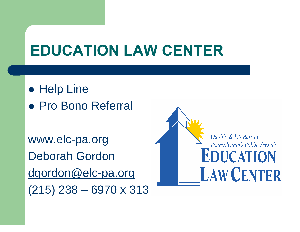#### **EDUCATION LAW CENTER**

- $\bullet$  Help Line
- Pro Bono Referral

www.elc-pa.org Deborah Gordon dgordon@elc-pa.org (215) 238 – 6970 x 313

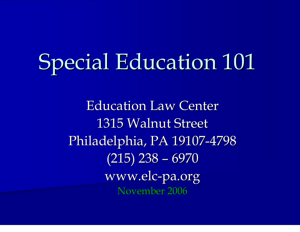# Special Education 101

**Education Law Center** 1315 Walnut Street Philadelphia, PA 19107-4798 (215) 238 – 6970 www.elc -pa.org November 2006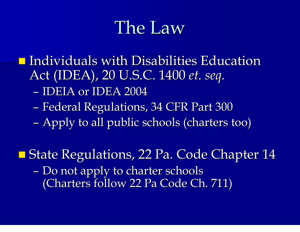## The Law

 $\blacksquare$  Individuals with Disabilities Education Act (IDEA), 20 U.S.C. 1400 *et. seq.*

- IDEIA or IDEA 2004
- –– Federal Regulations, 34 CFR Part 300
- –- Apply to all public schools (charters too)
- **State Regulations, 22 Pa. Code Chapter 14** –- Do not apply to charter schools (Charters follow 22 Pa Code Ch. 711)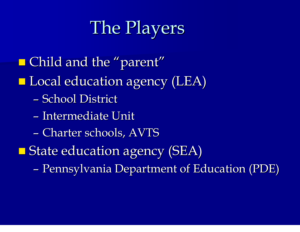# The Players

- $\blacksquare$  Child and the "parent"
- **Local education agency (LEA)** 
	- School District
	- Intermediate Unit
	- –- Charter schools, AVTS
- **State education agency (SEA)** 
	- –– Pennsylvania Department of Education (PDE)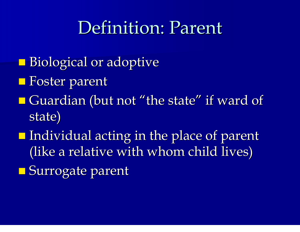## Definition: Parent

- **Biological or adoptive**
- **Foster parent**
- $\blacksquare$  Guardian (but not "the state" if ward of state)
- **Individual acting in the place of parent** (like a relative with whom child lives)
- **Surrogate parent**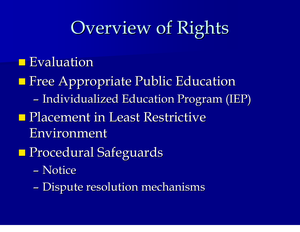# **Overview of Rights**

#### **Exaluation**

- **Firee Appropriate Public Education** 
	- –– Individualized Education Program (IEP)
- **Placement in Least Restrictive** Environment
- **Procedural Safeguards** 
	- Notice
	- –- Dispute resolution mechanisms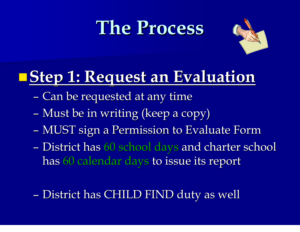# **The Process The Process**



#### **Step 1: Request an Evaluation Request an Evaluation**

- –– Can be requested at any time
- –– Must be in writing (keep a copy)
- –– MUST sign a Permission to Evaluate Form
- –- District has 60 school days and charter school has 60 calendar days to issue its report
- –– District has CHILD FIND duty as well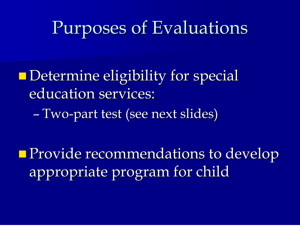# Purposes of Evaluations Purposes of Evaluations

**Determine eligibility for special** education services:

– Two -part test (see next slides)

**Provide recommendations to develop** appropriate program for child appropriate program for child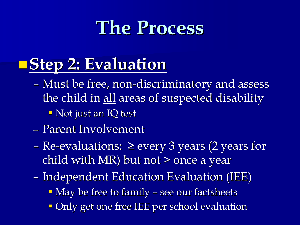# **The Process The Process**

## **Step 2: Evaluation Evaluation**

- –- Must be free, non-discriminatory and assess the child in all areas of suspected disability
	- $\textcolor{red}{\bullet}$  Not just an IQ test
- Parent Involvement
- Re-evaluations:  $\geq$  every 3 years (2 years for child with MR) but not > once a year
- –– Independent Education Evaluation (IEE)
	- **May be free to family see our factsheets**
	- **Only get one free IEE per school evaluation**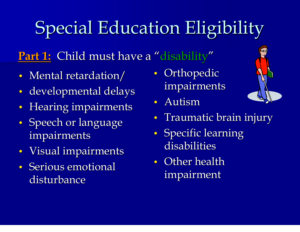# Special Education Eligibility

#### **<u>Part 1:</u> Child must have a "disability"**

- $\bullet$ • Mental retardation/
- $\bullet$ • developmental delays
- Hearing impairments
- $\bullet$ • Speech or language impairments
- $\bullet$ • Visual impairments
- Serious emotional disturbance
- $\bullet$ • Orthopedic impairments
- Autism



- $\bullet$ • Traumatic brain injury
- $\bullet$ • Specific learning disabilities
- Other health impairment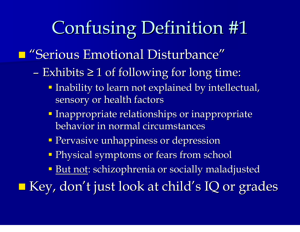# Confusing Definition #1

#### **E** "Serious Emotional Disturbance"

- Exhibits ≥ 1 of following for long time:
	- Inability to learn not explained by intellectual, sensory or health factors
	- **Inappropriate relationships or inappropriate** behavior in normal circumstances
	- **Pervasive unhappiness or depression**
	- **Physical symptoms or fears from school**
	- But not: schizophrenia or socially maladjusted

■ Key, don't just look at child's IQ or grades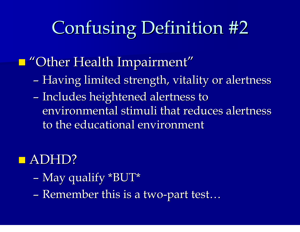# Confusing Definition #2

#### $\Box$ "Other Health Impairment"

- –– Having limited strength, vitality or alertness
- –- Includes heightened alertness to environmental stimuli that reduces alertness to the educational environment

#### **ADHD?**

- –– May qualify \*BUT \*
- Remember this is a two-part test …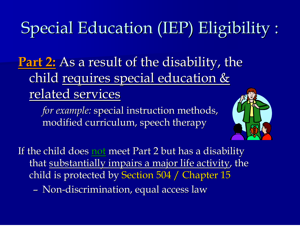#### Special Education (IEP) Eligibility :<br>.

**Part 2** <u>:</u> As a result of the disability, the child requires special education & related services

*for example:* special instruction methods, modified curriculum, speech therapy



If the child does <u>not</u> meet Part 2 but has a disability <sub>.</sub> that substantially impairs a major life activity, the child is protected by Section 504 / Chapter 15 – Non-discrimination, equal access law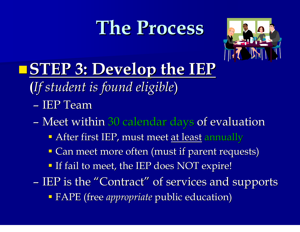# **The Process The Process**



#### **STEP 3: Develop the IEP**

- **(***If student is found eligible If student is found eligible*)
	- IEP Team
	- –– Meet within 30 calendar days of evaluation
		- **After first IEP, must meet <u>at least</u> annually**
		- **Can meet more often (must if parent requests)**
		- If fail to meet, the IEP does NOT expire!
- IEP is the "Contract" of services and supports **- FAPE** (free *appropriate* public education)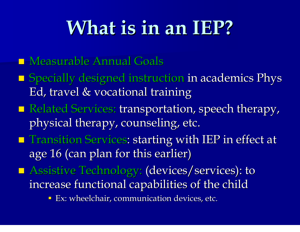# **What is in an IEP What is in an IEP ?**

- **Measurable Annual Goals**
- $\blacksquare$  Specially designed instruction in academics Phys Ed, travel & vocational training
- Related Services: transportation, speech therapy, physical therapy, counseling, etc.
- **The Transition Services: starting with IEP in effect at starting with IEP** in effect at age 16 (can plan for this earlier)
- **Assistive Technology: (devices/services): to** increase functional capabilities of the child
	- **Ex: wheelchair, communication devices, etc.**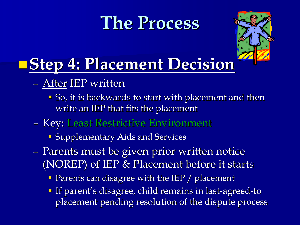## **The Process The Process**



# **Placement Decision**

- After IEP written
	- **So, it is backwards to start with placement and then** write an IEP that fits the placement
- –– Key: Least Restrictive Environment
	- **Supplementary Aids and Services**
- –– Parents must be given prior written notice (NOREP) of IEP  $&$  Placement before it starts
	- **Parents can disagree with the IEP / placement**
	- If parent's disagree, child remains in last-agreed-to placement pending resolution of the dispute process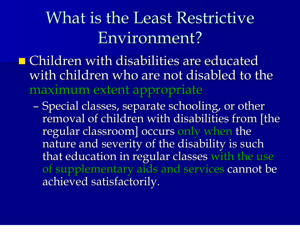## What is the Least Restrictive Environment?

 $\blacksquare$  Children with disabilities are educated with children who are not disabled to the maximum extent appropriate

–- Special classes, separate schooling, or other removal of children with disabilities from [the regular classroom] occurs only when the nature and severity of the disability is such nature and severity of the disability is such that education in regular classes with the use of supplementary aids and services cannot be achieved satisfactorily.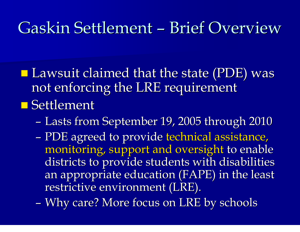#### Gaskin Settlement - Brief Overview

 $\blacksquare$  Lawsuit claimed that the state (PDE) was not enforcing the LRE requirement **Settlement** 

- –– Lasts from September 19, 2005 through 2010
- –- PDE agreed to provide technical assistance, monitoring, support and oversight to enable districts to provide students with disabilities an appropriate education (FAPE) in the least restrictive environment (LRE).
- –– Why care? More focus on LRE by schools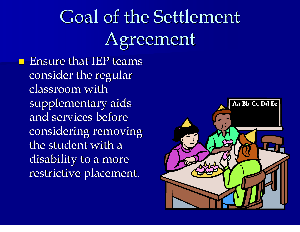# Goal of the Settlement Agreement

 $\blacksquare$  Ensure that IEP teams consider the regular classroom with supplementary aids and services before considering removing the student with a disability to a more restrictive placement.

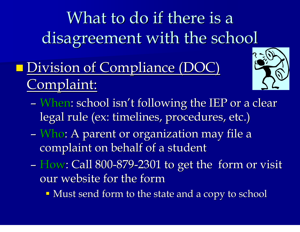What to do if there is a disagreement with the school

#### **Division of Compliance (DOC)** Complaint:



- –- When: school isn't following the IEP or a clear  $\overline{\ }$ legal rule (ex: timelines, procedures, etc.)
- –– Who: A parent or organization may file a complaint on behalf of a student
- How: Call 800 -879 -2301 to get the form or visit our website for the form
	- $\blacksquare$  Must send form to the state and a copy to school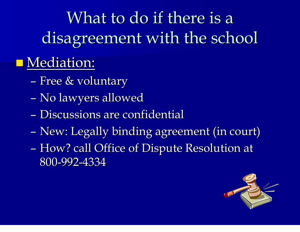What to do if there is a disagreement with the school

#### $\blacksquare$  Mediation:

- –– Free & voluntary
- –– No lawyers allowed
- Discussions are confidential
- –– New: Legally binding agreement (in court)
- –- How? call Office of Dispute Resolution at 800-992-4334

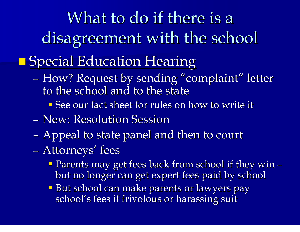# What to do if there is a disagreement with the school

#### **Special Education Hearing**

- –- How? Request by sending "complaint" letter to the school and to the state
	- **See our fact sheet for rules on how to write it**
- New: Resolution Session
- –- Appeal to state panel and then to court
- –– Attorneys' fees
	- **Parents may get fees back from school if they win** – but no longer can get expert fees paid by school
	- **But school can make parents or lawyers pay** school's fees if frivolous or harassing suit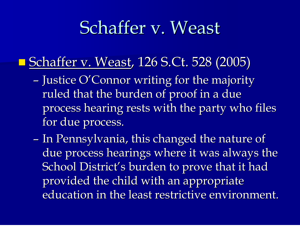## Schaffer v. Weast

#### **Schaffer v. Weast, 126 S.Ct. 528 (2005)**

- –- Justice O'Connor writing for the majority ruled that the burden of proof in a due process hearing rests with the party who files for due process.
- –- In Pennsylvania, this changed the nature of due process hearings where it was always the School District's burden to prove that it had provided the child with an appropriate education in the least restrictive environment.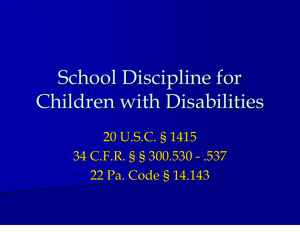School Discipline for Children with Disabilities

> 20 U.S.C. § 1415 34 C.F.R. § § 300.530 - .537 22 Pa. Code § 14.143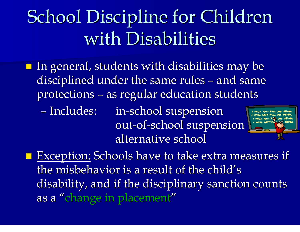# School Discipline for Children with Disabilities

- $\blacksquare$  In general, students with disabilities may be disciplined under the same rules – and same protections – as regular education students
	- Includes: in-school suspension out-of-school suspension alternative school alternative school



**Exception: Schools have to take extra measures if** the misbehavior is a result of the child's disability, and if the disciplinary sanction counts as a "change in placement"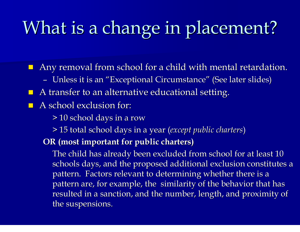# What is a change in placement?

 $\blacksquare$  Any removal from school for a child with mental retardation.

- Unless it is an "Exceptional Circumstance" ″ (See later slides)
- $\blacksquare$  A transfer to an alternative educational setting.
- $\blacksquare$  A school exclusion for:
	- > 10 school days in a row school days in a row
	- > 15 total school days in a year total school days in a year (*except public charters except public charters* )
	- **OR (most important for public charters most important for public charters )**

The child has already been excluded from school for at least 10 schools days, and the proposed additional exclusion constitutes a pattern. Factors relevant to determining whether there is a pattern are, for example, the similarity of the behavior that has resulted in a sanction, and the number, length, and proximity of the suspensions.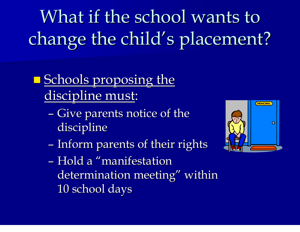What if the school wants to change the child's placement?

#### **Schools proposing the** discipline must:

- –- Give parents notice of the discipline
- –- Inform parents of their rights
- Hold a "manifestation determination meeting" within 10 school days

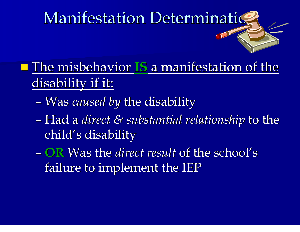# Manifestation Determination

- **The misbehavior IS** a manifestation of the disability if it:
	- –– Was *caused by* the disability
	- –– Had a *direct & substantial relationship* to the child 's disability
	- **OR** Was the *direct result* of the school's failure to implement the IEP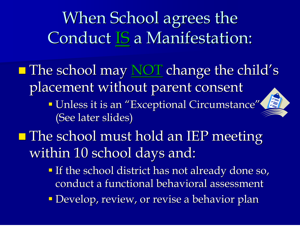When School agrees the Conduct IS a Manifestation:

**The school may NOT change the child's** placement without parent consent

> " Unless it is an "Exceptional Circumstance" (See later slides)



- If the school district has not already done so, conduct a functional behavioral assessment conduct a functional behavioral assessment
- **Develop, review, or revise a behavior plan**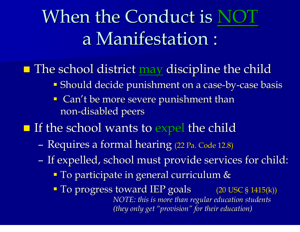# When the Conduct is N a Manifestation :

#### **The school district may discipline the child**  $\blacksquare$

- **Should decide punishment on a case-by-case basis**
- $\blacksquare$  Can't be more severe punishment than non-disabled peers

#### **If the school wants to expel the child**

- –- Requires a formal hearing (22 Pa. Code 12.8)
- –– If expelled, school must provide services for child:
	- <sup>•</sup> To participate in general curriculum &
	- **To progress toward IEP goals** (20 USC § 1415 ( k)) *NOTE: this is more than regular education students this is more than regular education students (they only get they only get "provision provision " for their education for their education)*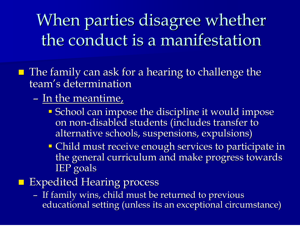When parties disagree whether the conduct is a manifestation

 $\blacksquare$  The family can ask for a hearing to challenge the team's determination

#### –- In the meantime,

- **School can impose the discipline it would impose** on non-disabled students (includes transfer to alternative schools, suspensions, expulsions)
- **Child must receive enough services to participate in** the general curriculum and make progress towards IEP goals
- **Expedited Hearing process** 
	- –– If family wins, child must be returned to previous educational setting (unless its an exceptional circumstance)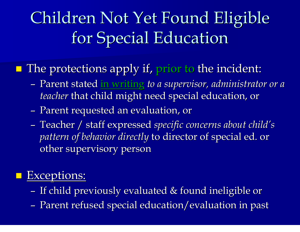# Children Not Yet Found Eligible for Special Education

## $\blacksquare$  The protections apply if, prior to the incident:

- – Parent stated Parent stated in writing in writing *to a supervisor to a supervisor, administrator or a administrator or a teacher <code>that</code> child might need special education, or*
- –- Parent requested an evaluation, or
- –– Teacher / staff expressed *specific concerns about child's pattern of behavior directly* to director of special ed. or other supervisory person

#### Exceptions:

- –– If child previously evaluated  $\&$  found ineligible or
- –– Parent refused special education/evaluation in past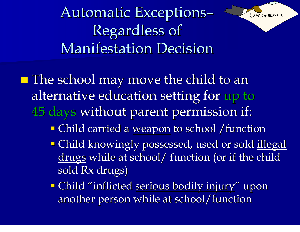Automatic Exceptions –Regardless of **Manifestation Decision** 



- Child carried a <u>weapon</u> to school /function
- **Child knowingly possessed, used or sold <u>illegal</u>** drugs while at school/ function (or if the child  $\,$ sold Rx drugs)

URGE

**- Child "inflicted <u>serious bodily injury</u>" upon** another person while at school/function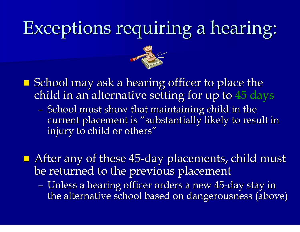### Exceptions requiring a hearing :



- $\blacksquare$  School may ask a hearing officer to place the child in an alternative setting for up to 45 days
	- –- School must show that maintaining child in the current placement is "substantially likely to result in injury to child or others"
- $\blacksquare$  After any of these 45-day placements, child must be returned to the previous placement
	- –- Unless a hearing officer orders a new 45-day stay in the alternative school based on dangerousness (above)